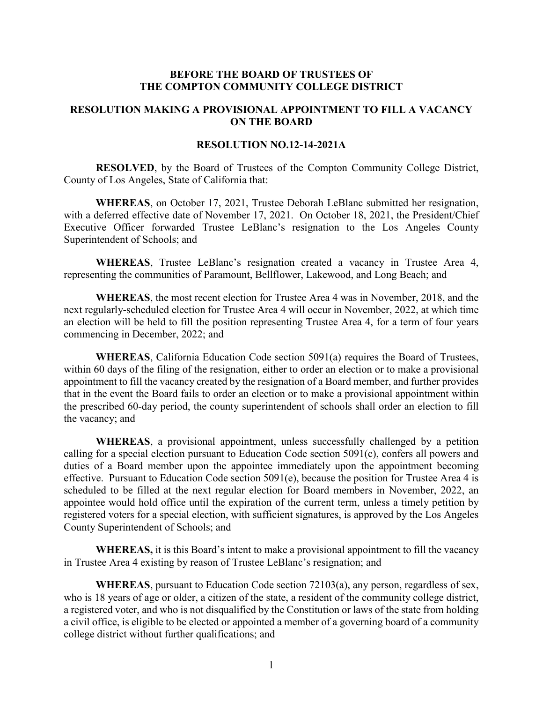# **BEFORE THE BOARD OF TRUSTEES OF THE COMPTON COMMUNITY COLLEGE DISTRICT**

## **RESOLUTION MAKING A PROVISIONAL APPOINTMENT TO FILL A VACANCY ON THE BOARD**

### **RESOLUTION NO.12-14-2021A**

**RESOLVED**, by the Board of Trustees of the Compton Community College District, County of Los Angeles, State of California that:

**WHEREAS**, on October 17, 2021, Trustee Deborah LeBlanc submitted her resignation, with a deferred effective date of November 17, 2021. On October 18, 2021, the President/Chief Executive Officer forwarded Trustee LeBlanc's resignation to the Los Angeles County Superintendent of Schools; and

**WHEREAS**, Trustee LeBlanc's resignation created a vacancy in Trustee Area 4, representing the communities of Paramount, Bellflower, Lakewood, and Long Beach; and

**WHEREAS**, the most recent election for Trustee Area 4 was in November, 2018, and the next regularly-scheduled election for Trustee Area 4 will occur in November, 2022, at which time an election will be held to fill the position representing Trustee Area 4, for a term of four years commencing in December, 2022; and

**WHEREAS**, California Education Code section 5091(a) requires the Board of Trustees, within 60 days of the filing of the resignation, either to order an election or to make a provisional appointment to fill the vacancy created by the resignation of a Board member, and further provides that in the event the Board fails to order an election or to make a provisional appointment within the prescribed 60-day period, the county superintendent of schools shall order an election to fill the vacancy; and

**WHEREAS**, a provisional appointment, unless successfully challenged by a petition calling for a special election pursuant to Education Code section 5091(c), confers all powers and duties of a Board member upon the appointee immediately upon the appointment becoming effective. Pursuant to Education Code section 5091(e), because the position for Trustee Area 4 is scheduled to be filled at the next regular election for Board members in November, 2022, an appointee would hold office until the expiration of the current term, unless a timely petition by registered voters for a special election, with sufficient signatures, is approved by the Los Angeles County Superintendent of Schools; and

**WHEREAS,** it is this Board's intent to make a provisional appointment to fill the vacancy in Trustee Area 4 existing by reason of Trustee LeBlanc's resignation; and

**WHEREAS**, pursuant to Education Code section 72103(a), any person, regardless of sex, who is 18 years of age or older, a citizen of the state, a resident of the community college district, a registered voter, and who is not disqualified by the Constitution or laws of the state from holding a civil office, is eligible to be elected or appointed a member of a governing board of a community college district without further qualifications; and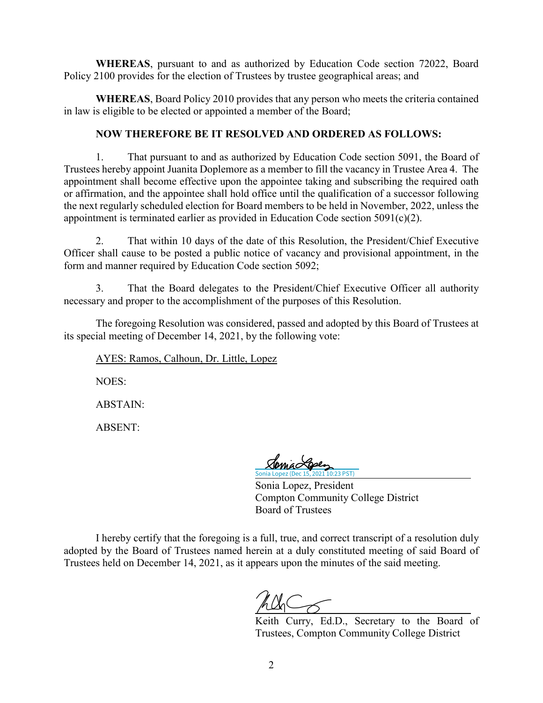**WHEREAS**, pursuant to and as authorized by Education Code section 72022, Board Policy 2100 provides for the election of Trustees by trustee geographical areas; and

**WHEREAS**, Board Policy 2010 provides that any person who meets the criteria contained in law is eligible to be elected or appointed a member of the Board;

# **NOW THEREFORE BE IT RESOLVED AND ORDERED AS FOLLOWS:**

1. That pursuant to and as authorized by Education Code section 5091, the Board of Trustees hereby appoint Juanita Doplemore as a member to fill the vacancy in Trustee Area 4. The appointment shall become effective upon the appointee taking and subscribing the required oath or affirmation, and the appointee shall hold office until the qualification of a successor following the next regularly scheduled election for Board members to be held in November, 2022, unless the appointment is terminated earlier as provided in Education Code section 5091(c)(2).

2. That within 10 days of the date of this Resolution, the President/Chief Executive Officer shall cause to be posted a public notice of vacancy and provisional appointment, in the form and manner required by Education Code section 5092;

3. That the Board delegates to the President/Chief Executive Officer all authority necessary and proper to the accomplishment of the purposes of this Resolution.

The foregoing Resolution was considered, passed and adopted by this Board of Trustees at its special meeting of December 14, 2021, by the following vote:

AYES: Ramos, Calhoun, Dr. Little, Lopez

NOES:

ABSTAIN:

ABSENT:

021 10:23 PST)

Sonia Lopez, President Compton Community College District Board of Trustees

I hereby certify that the foregoing is a full, true, and correct transcript of a resolution duly adopted by the Board of Trustees named herein at a duly constituted meeting of said Board of Trustees held on December 14, 2021, as it appears upon the minutes of the said meeting.

Keith Curry, Ed.D., Secretary to the Board of Trustees, Compton Community College District